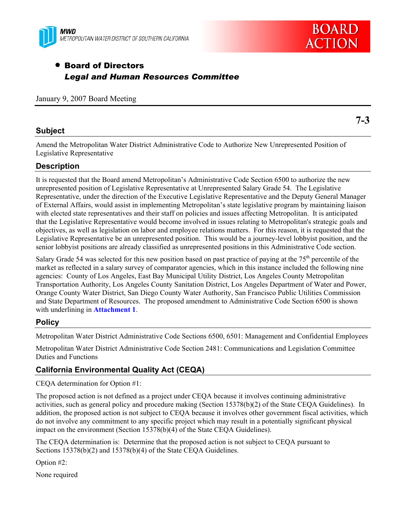



# • Board of Directors *Legal and Human Resources Committee*

January 9, 2007 Board Meeting

## **Subject**

**7-3** 

Amend the Metropolitan Water District Administrative Code to Authorize New Unrepresented Position of Legislative Representative

## **Description**

It is requested that the Board amend Metropolitan's Administrative Code Section 6500 to authorize the new unrepresented position of Legislative Representative at Unrepresented Salary Grade 54. The Legislative Representative, under the direction of the Executive Legislative Representative and the Deputy General Manager of External Affairs, would assist in implementing Metropolitan's state legislative program by maintaining liaison with elected state representatives and their staff on policies and issues affecting Metropolitan. It is anticipated that the Legislative Representative would become involved in issues relating to Metropolitan's strategic goals and objectives, as well as legislation on labor and employee relations matters. For this reason, it is requested that the Legislative Representative be an unrepresented position. This would be a journey-level lobbyist position, and the senior lobbyist positions are already classified as unrepresented positions in this Administrative Code section.

Salary Grade 54 was selected for this new position based on past practice of paying at the  $75<sup>th</sup>$  percentile of the market as reflected in a salary survey of comparator agencies, which in this instance included the following nine agencies: County of Los Angeles, East Bay Municipal Utility District, Los Angeles County Metropolitan Transportation Authority, Los Angeles County Sanitation District, Los Angeles Department of Water and Power, Orange County Water District, San Diego County Water Authority, San Francisco Public Utilities Commission and State Department of Resources. The proposed amendment to Administrative Code Section 6500 is shown with underlining in **Attachment 1**.

## **Policy**

Metropolitan Water District Administrative Code Sections 6500, 6501: Management and Confidential Employees

Metropolitan Water District Administrative Code Section 2481: Communications and Legislation Committee Duties and Functions

## **California Environmental Quality Act (CEQA)**

CEQA determination for Option #1:

The proposed action is not defined as a project under CEQA because it involves continuing administrative activities, such as general policy and procedure making (Section 15378(b)(2) of the State CEQA Guidelines). In addition, the proposed action is not subject to CEQA because it involves other government fiscal activities, which do not involve any commitment to any specific project which may result in a potentially significant physical impact on the environment (Section 15378(b)(4) of the State CEQA Guidelines).

The CEQA determination is: Determine that the proposed action is not subject to CEQA pursuant to Sections 15378(b)(2) and 15378(b)(4) of the State CEQA Guidelines.

Option #2:

None required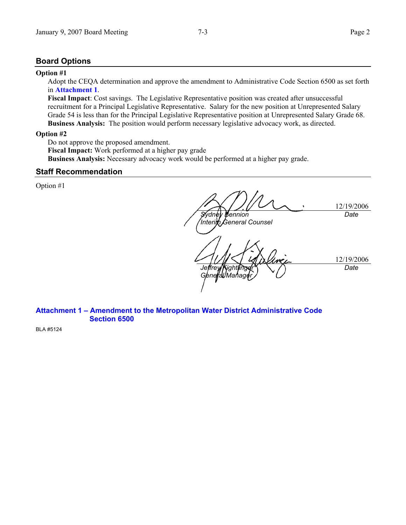## **Board Options**

#### **Option #1**

Adopt the CEQA determination and approve the amendment to Administrative Code Section 6500 as set forth in **Attachment 1**.

**Fiscal Impact**: Cost savings. The Legislative Representative position was created after unsuccessful recruitment for a Principal Legislative Representative. Salary for the new position at Unrepresented Salary Grade 54 is less than for the Principal Legislative Representative position at Unrepresented Salary Grade 68. **Business Analysis:** The position would perform necessary legislative advocacy work, as directed.

#### **Option #2**

Do not approve the proposed amendment.

**Fiscal Impact:** Work performed at a higher pay grade **Business Analysis:** Necessary advocacy work would be performed at a higher pay grade.

## **Staff Recommendation**

Option #1

12/19/2006 *Sydney Bennion Interim General Counsel Date*  12/19/2006 *Jeffrey Kightlinger General Mahager Date* 

### **Attachment 1 – Amendment to the Metropolitan Water District Administrative Code Section 6500**

BLA #5124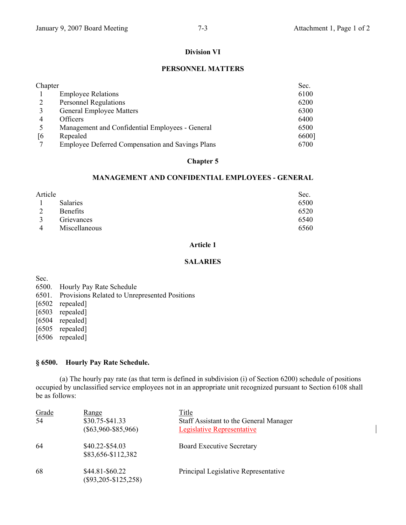### **Division VI**

#### **PERSONNEL MATTERS**

| Chapter |                                                         | Sec.  |
|---------|---------------------------------------------------------|-------|
|         | <b>Employee Relations</b>                               | 6100  |
|         | <b>Personnel Regulations</b>                            | 6200  |
|         | <b>General Employee Matters</b>                         | 6300  |
| 4       | <b>Officers</b>                                         | 6400  |
|         | Management and Confidential Employees - General         | 6500  |
| [6]     | Repealed                                                | 6600] |
|         | <b>Employee Deferred Compensation and Savings Plans</b> | 6700  |

### **Chapter 5**

#### **MANAGEMENT AND CONFIDENTIAL EMPLOYEES - GENERAL**

| Article      |                 | Sec. |
|--------------|-----------------|------|
|              | <b>Salaries</b> | 6500 |
| C            | <b>Benefits</b> | 6520 |
| $\mathbf{R}$ | Grievances      | 6540 |
| 4            | Miscellaneous   | 6560 |

#### **Article 1**

#### **SALARIES**

Sec.

- 6500. Hourly Pay Rate Schedule
- 6501. Provisions Related to Unrepresented Positions
- [6502 repealed]
- [6503 repealed]
- [6504 repealed]
- [6505 repealed]
- [6506 repealed]

### **§ 6500. Hourly Pay Rate Schedule.**

 (a) The hourly pay rate (as that term is defined in subdivision (i) of Section 6200) schedule of positions occupied by unclassified service employees not in an appropriate unit recognized pursuant to Section 6108 shall be as follows:

| Grade<br>54 | Range<br>\$30.75-\$41.33<br>$(\$63,960-\$85,966)$ | Title<br>Staff Assistant to the General Manager<br><b>Legislative Representative</b> |
|-------------|---------------------------------------------------|--------------------------------------------------------------------------------------|
| -64         | \$40.22-\$54.03<br>\$83,656-\$112,382             | <b>Board Executive Secretary</b>                                                     |
| 68          | \$44.81-\$60.22<br>$(\$93,205-S125,258)$          | Principal Legislative Representative                                                 |